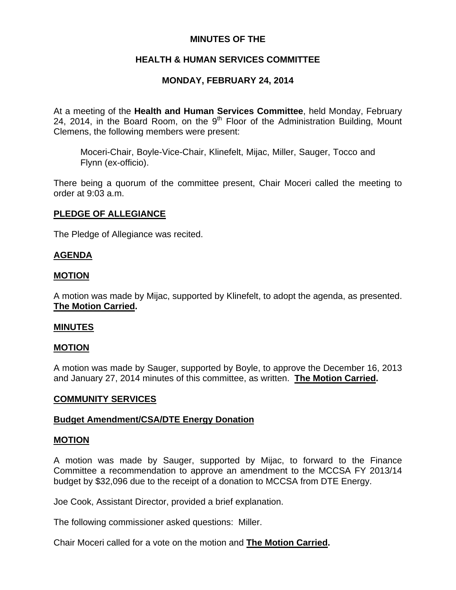# **MINUTES OF THE**

# **HEALTH & HUMAN SERVICES COMMITTEE**

# **MONDAY, FEBRUARY 24, 2014**

At a meeting of the **Health and Human Services Committee**, held Monday, February 24, 2014, in the Board Room, on the  $9<sup>th</sup>$  Floor of the Administration Building, Mount Clemens, the following members were present:

Moceri-Chair, Boyle-Vice-Chair, Klinefelt, Mijac, Miller, Sauger, Tocco and Flynn (ex-officio).

There being a quorum of the committee present, Chair Moceri called the meeting to order at 9:03 a.m.

# **PLEDGE OF ALLEGIANCE**

The Pledge of Allegiance was recited.

### **AGENDA**

### **MOTION**

A motion was made by Mijac, supported by Klinefelt, to adopt the agenda, as presented. **The Motion Carried.** 

#### **MINUTES**

# **MOTION**

A motion was made by Sauger, supported by Boyle, to approve the December 16, 2013 and January 27, 2014 minutes of this committee, as written. **The Motion Carried.** 

#### **COMMUNITY SERVICES**

#### **Budget Amendment/CSA/DTE Energy Donation**

#### **MOTION**

A motion was made by Sauger, supported by Mijac, to forward to the Finance Committee a recommendation to approve an amendment to the MCCSA FY 2013/14 budget by \$32,096 due to the receipt of a donation to MCCSA from DTE Energy.

Joe Cook, Assistant Director, provided a brief explanation.

The following commissioner asked questions: Miller.

Chair Moceri called for a vote on the motion and **The Motion Carried.**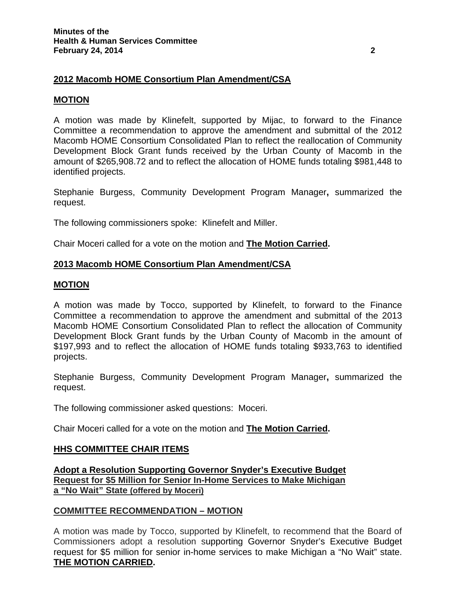# **2012 Macomb HOME Consortium Plan Amendment/CSA**

#### **MOTION**

A motion was made by Klinefelt, supported by Mijac, to forward to the Finance Committee a recommendation to approve the amendment and submittal of the 2012 Macomb HOME Consortium Consolidated Plan to reflect the reallocation of Community Development Block Grant funds received by the Urban County of Macomb in the amount of \$265,908.72 and to reflect the allocation of HOME funds totaling \$981,448 to identified projects.

Stephanie Burgess, Community Development Program Manager**,** summarized the request.

The following commissioners spoke: Klinefelt and Miller.

Chair Moceri called for a vote on the motion and **The Motion Carried.**

### **2013 Macomb HOME Consortium Plan Amendment/CSA**

#### **MOTION**

A motion was made by Tocco, supported by Klinefelt, to forward to the Finance Committee a recommendation to approve the amendment and submittal of the 2013 Macomb HOME Consortium Consolidated Plan to reflect the allocation of Community Development Block Grant funds by the Urban County of Macomb in the amount of \$197,993 and to reflect the allocation of HOME funds totaling \$933,763 to identified projects.

Stephanie Burgess, Community Development Program Manager**,** summarized the request.

The following commissioner asked questions: Moceri.

Chair Moceri called for a vote on the motion and **The Motion Carried.** 

#### **HHS COMMITTEE CHAIR ITEMS**

**Adopt a Resolution Supporting Governor Snyder's Executive Budget Request for \$5 Million for Senior In-Home Services to Make Michigan a "No Wait" State (offered by Moceri)**

#### **COMMITTEE RECOMMENDATION – MOTION**

A motion was made by Tocco, supported by Klinefelt, to recommend that the Board of Commissioners adopt a resolution supporting Governor Snyder's Executive Budget request for \$5 million for senior in-home services to make Michigan a "No Wait" state. **THE MOTION CARRIED.**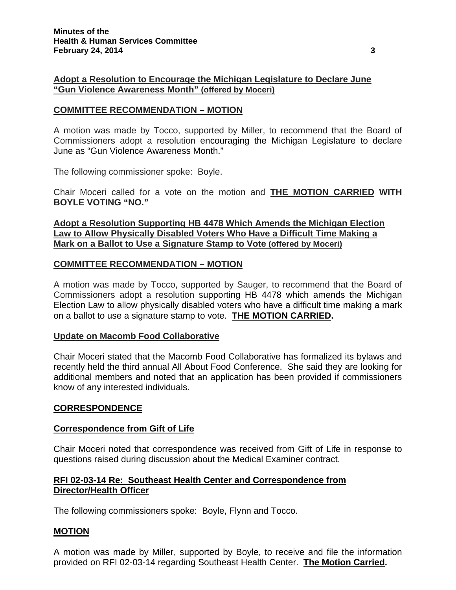# **Adopt a Resolution to Encourage the Michigan Legislature to Declare June "Gun Violence Awareness Month" (offered by Moceri)**

### **COMMITTEE RECOMMENDATION – MOTION**

A motion was made by Tocco, supported by Miller, to recommend that the Board of Commissioners adopt a resolution encouraging the Michigan Legislature to declare June as "Gun Violence Awareness Month."

The following commissioner spoke: Boyle.

Chair Moceri called for a vote on the motion and **THE MOTION CARRIED WITH BOYLE VOTING "NO."**

### **Adopt a Resolution Supporting HB 4478 Which Amends the Michigan Election Law to Allow Physically Disabled Voters Who Have a Difficult Time Making a Mark on a Ballot to Use a Signature Stamp to Vote (offered by Moceri)**

### **COMMITTEE RECOMMENDATION – MOTION**

A motion was made by Tocco, supported by Sauger, to recommend that the Board of Commissioners adopt a resolution supporting HB 4478 which amends the Michigan Election Law to allow physically disabled voters who have a difficult time making a mark on a ballot to use a signature stamp to vote. **THE MOTION CARRIED.** 

#### **Update on Macomb Food Collaborative**

Chair Moceri stated that the Macomb Food Collaborative has formalized its bylaws and recently held the third annual All About Food Conference. She said they are looking for additional members and noted that an application has been provided if commissioners know of any interested individuals.

#### **CORRESPONDENCE**

#### **Correspondence from Gift of Life**

Chair Moceri noted that correspondence was received from Gift of Life in response to questions raised during discussion about the Medical Examiner contract.

### **RFI 02-03-14 Re: Southeast Health Center and Correspondence from Director/Health Officer**

The following commissioners spoke: Boyle, Flynn and Tocco.

# **MOTION**

A motion was made by Miller, supported by Boyle, to receive and file the information provided on RFI 02-03-14 regarding Southeast Health Center. **The Motion Carried.**